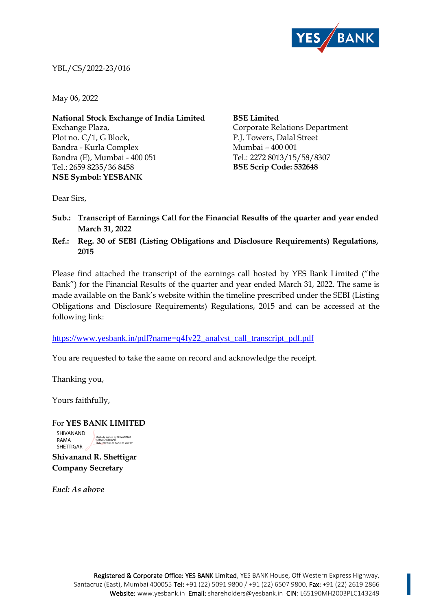

YBL/CS/2022-23/016

May 06, 2022

**National Stock Exchange of India Limited** Exchange Plaza, Plot no. C/1, G Block, Bandra - Kurla Complex Bandra (E), Mumbai - 400 051 Tel.: 2659 8235/36 8458 **NSE Symbol: YESBANK**

**BSE Limited** Corporate Relations Department P.J. Towers, Dalal Street Mumbai – 400 001 Tel.: 2272 8013/15/58/8307 **BSE Scrip Code: 532648**

Dear Sirs,

- **Sub.: Transcript of Earnings Call for the Financial Results of the quarter and year ended March 31, 2022**
- **Ref.: Reg. 30 of SEBI (Listing Obligations and Disclosure Requirements) Regulations, 2015**

Please find attached the transcript of the earnings call hosted by YES Bank Limited ("the Bank") for the Financial Results of the quarter and year ended March 31, 2022. The same is made available on the Bank's website within the timeline prescribed under the SEBI (Listing Obligations and Disclosure Requirements) Regulations, 2015 and can be accessed at the following link:

[https://www.yesbank.in/pdf?name=q4fy22\\_analyst\\_call\\_transcript\\_pdf.pdf](https://www.yesbank.in/pdf?name=q4fy22_analyst_call_transcript_pdf.pdf)

You are requested to take the same on record and acknowledge the receipt.

Thanking you,

Yours faithfully,

For **YES BANK LIMITED Shivanand R. Shettigar**  SHIVANAND RAMA SHETTIGAR Digitally signed by SHIVANAND RAMA SHETTIGAR Date: 2022.05.06 16:51:20 +05'30'

**Company Secretary**

*Encl: As above*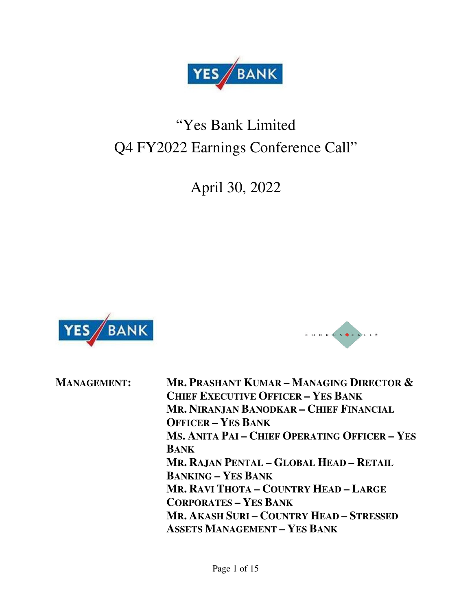

# "Yes Bank Limited Q4 FY2022 Earnings Conference Call"

April 30, 2022





**MANAGEMENT: MR. PRASHANT KUMAR – MANAGING DIRECTOR & CHIEF EXECUTIVE OFFICER – YES BANK MR. NIRANJAN BANODKAR – CHIEF FINANCIAL OFFICER – YES BANK MS. ANITA PAI – CHIEF OPERATING OFFICER – YES BANK MR. RAJAN PENTAL – GLOBAL HEAD – RETAIL BANKING – YES BANK MR. RAVI THOTA – COUNTRY HEAD – LARGE CORPORATES – YES BANK MR. AKASH SURI – COUNTRY HEAD – STRESSED ASSETS MANAGEMENT – YES BANK**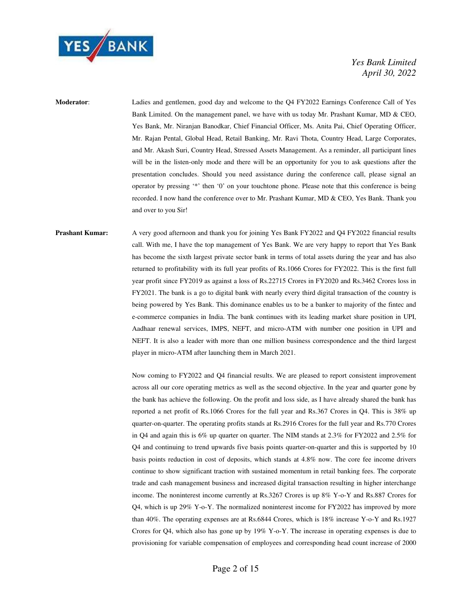

**Moderator**: Ladies and gentlemen, good day and welcome to the Q4 FY2022 Earnings Conference Call of Yes Bank Limited. On the management panel, we have with us today Mr. Prashant Kumar, MD & CEO, Yes Bank, Mr. Niranjan Banodkar, Chief Financial Officer, Ms. Anita Pai, Chief Operating Officer, Mr. Rajan Pental, Global Head, Retail Banking, Mr. Ravi Thota, Country Head, Large Corporates, and Mr. Akash Suri, Country Head, Stressed Assets Management. As a reminder, all participant lines will be in the listen-only mode and there will be an opportunity for you to ask questions after the presentation concludes. Should you need assistance during the conference call, please signal an operator by pressing '\*' then '0' on your touchtone phone. Please note that this conference is being recorded. I now hand the conference over to Mr. Prashant Kumar, MD & CEO, Yes Bank. Thank you and over to you Sir!

**Prashant Kumar:** A very good afternoon and thank you for joining Yes Bank FY2022 and Q4 FY2022 financial results call. With me, I have the top management of Yes Bank. We are very happy to report that Yes Bank has become the sixth largest private sector bank in terms of total assets during the year and has also returned to profitability with its full year profits of Rs.1066 Crores for FY2022. This is the first full year profit since FY2019 as against a loss of Rs.22715 Crores in FY2020 and Rs.3462 Crores loss in FY2021. The bank is a go to digital bank with nearly every third digital transaction of the country is being powered by Yes Bank. This dominance enables us to be a banker to majority of the fintec and e-commerce companies in India. The bank continues with its leading market share position in UPI, Aadhaar renewal services, IMPS, NEFT, and micro-ATM with number one position in UPI and NEFT. It is also a leader with more than one million business correspondence and the third largest player in micro-ATM after launching them in March 2021.

> Now coming to FY2022 and Q4 financial results. We are pleased to report consistent improvement across all our core operating metrics as well as the second objective. In the year and quarter gone by the bank has achieve the following. On the profit and loss side, as I have already shared the bank has reported a net profit of Rs.1066 Crores for the full year and Rs.367 Crores in Q4. This is 38% up quarter-on-quarter. The operating profits stands at Rs.2916 Crores for the full year and Rs.770 Crores in Q4 and again this is 6% up quarter on quarter. The NIM stands at 2.3% for FY2022 and 2.5% for Q4 and continuing to trend upwards five basis points quarter-on-quarter and this is supported by 10 basis points reduction in cost of deposits, which stands at 4.8% now. The core fee income drivers continue to show significant traction with sustained momentum in retail banking fees. The corporate trade and cash management business and increased digital transaction resulting in higher interchange income. The noninterest income currently at Rs.3267 Crores is up 8% Y-o-Y and Rs.887 Crores for Q4, which is up 29% Y-o-Y. The normalized noninterest income for FY2022 has improved by more than 40%. The operating expenses are at Rs.6844 Crores, which is 18% increase Y-o-Y and Rs.1927 Crores for Q4, which also has gone up by 19% Y-o-Y. The increase in operating expenses is due to provisioning for variable compensation of employees and corresponding head count increase of 2000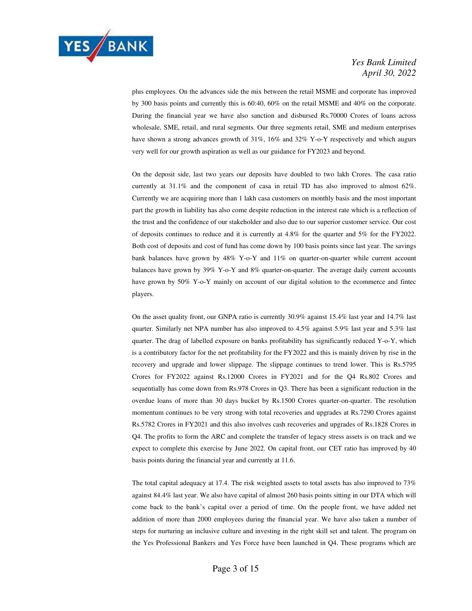

plus employees. On the advances side the mix between the retail MSME and corporate has improved by 300 basis points and currently this is 60:40, 60% on the retail MSME and 40% on the corporate. During the financial year we have also sanction and disbursed Rs.70000 Crores of loans across wholesale, SME, retail, and rural segments. Our three segments retail, SME and medium enterprises have shown a strong advances growth of 31%, 16% and 32% Y-o-Y respectively and which augurs very well for our growth aspiration as well as our guidance for FY2023 and beyond.

 On the deposit side, last two years our deposits have doubled to two lakh Crores. The casa ratio currently at 31.1% and the component of casa in retail TD has also improved to almost 62%. Currently we are acquiring more than 1 lakh casa customers on monthly basis and the most important part the growth in liability has also come despite reduction in the interest rate which is a reflection of the trust and the confidence of our stakeholder and also due to our superior customer service. Our cost of deposits continues to reduce and it is currently at 4.8% for the quarter and 5% for the FY2022. Both cost of deposits and cost of fund has come down by 100 basis points since last year. The savings bank balances have grown by 48% Y-o-Y and 11% on quarter-on-quarter while current account balances have grown by 39% Y-o-Y and 8% quarter-on-quarter. The average daily current accounts have grown by 50% Y-o-Y mainly on account of our digital solution to the ecommerce and fintec players.

 On the asset quality front, our GNPA ratio is currently 30.9% against 15.4% last year and 14.7% last quarter. Similarly net NPA number has also improved to 4.5% against 5.9% last year and 5.3% last quarter. The drag of labelled exposure on banks profitability has significantly reduced Y-o-Y, which is a contributory factor for the net profitability for the FY2022 and this is mainly driven by rise in the recovery and upgrade and lower slippage. The slippage continues to trend lower. This is Rs.5795 Crores for FY2022 against Rs.12000 Crores in FY2021 and for the Q4 Rs.802 Crores and sequentially has come down from Rs.978 Crores in Q3. There has been a significant reduction in the overdue loans of more than 30 days bucket by Rs.1500 Crores quarter-on-quarter. The resolution momentum continues to be very strong with total recoveries and upgrades at Rs.7290 Crores against Rs.5782 Crores in FY2021 and this also involves cash recoveries and upgrades of Rs.1828 Crores in Q4. The profits to form the ARC and complete the transfer of legacy stress assets is on track and we expect to complete this exercise by June 2022. On capital front, our CET ratio has improved by 40 basis points during the financial year and currently at 11.6.

 The total capital adequacy at 17.4. The risk weighted assets to total assets has also improved to 73% against 84.4% last year. We also have capital of almost 260 basis points sitting in our DTA which will come back to the bank's capital over a period of time. On the people front, we have added net addition of more than 2000 employees during the financial year. We have also taken a number of steps for nurturing an inclusive culture and investing in the right skill set and talent. The program on the Yes Professional Bankers and Yes Force have been launched in Q4. These programs which are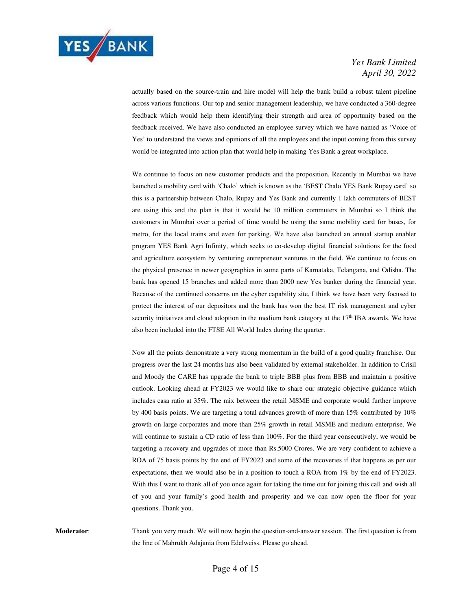

actually based on the source-train and hire model will help the bank build a robust talent pipeline across various functions. Our top and senior management leadership, we have conducted a 360-degree feedback which would help them identifying their strength and area of opportunity based on the feedback received. We have also conducted an employee survey which we have named as 'Voice of Yes' to understand the views and opinions of all the employees and the input coming from this survey would be integrated into action plan that would help in making Yes Bank a great workplace.

 We continue to focus on new customer products and the proposition. Recently in Mumbai we have launched a mobility card with 'Chalo' which is known as the 'BEST Chalo YES Bank Rupay card' so this is a partnership between Chalo, Rupay and Yes Bank and currently 1 lakh commuters of BEST are using this and the plan is that it would be 10 million commuters in Mumbai so I think the customers in Mumbai over a period of time would be using the same mobility card for buses, for metro, for the local trains and even for parking. We have also launched an annual startup enabler program YES Bank Agri Infinity, which seeks to co-develop digital financial solutions for the food and agriculture ecosystem by venturing entrepreneur ventures in the field. We continue to focus on the physical presence in newer geographies in some parts of Karnataka, Telangana, and Odisha. The bank has opened 15 branches and added more than 2000 new Yes banker during the financial year. Because of the continued concerns on the cyber capability site, I think we have been very focused to protect the interest of our depositors and the bank has won the best IT risk management and cyber security initiatives and cloud adoption in the medium bank category at the  $17<sup>th</sup>$  IBA awards. We have also been included into the FTSE All World Index during the quarter.

 Now all the points demonstrate a very strong momentum in the build of a good quality franchise. Our progress over the last 24 months has also been validated by external stakeholder. In addition to Crisil and Moody the CARE has upgrade the bank to triple BBB plus from BBB and maintain a positive outlook. Looking ahead at FY2023 we would like to share our strategic objective guidance which includes casa ratio at 35%. The mix between the retail MSME and corporate would further improve by 400 basis points. We are targeting a total advances growth of more than 15% contributed by 10% growth on large corporates and more than 25% growth in retail MSME and medium enterprise. We will continue to sustain a CD ratio of less than 100%. For the third year consecutively, we would be targeting a recovery and upgrades of more than Rs.5000 Crores. We are very confident to achieve a ROA of 75 basis points by the end of FY2023 and some of the recoveries if that happens as per our expectations, then we would also be in a position to touch a ROA from 1% by the end of FY2023. With this I want to thank all of you once again for taking the time out for joining this call and wish all of you and your family's good health and prosperity and we can now open the floor for your questions. Thank you.

**Moderator**: Thank you very much. We will now begin the question-and-answer session. The first question is from the line of Mahrukh Adajania from Edelweiss. Please go ahead.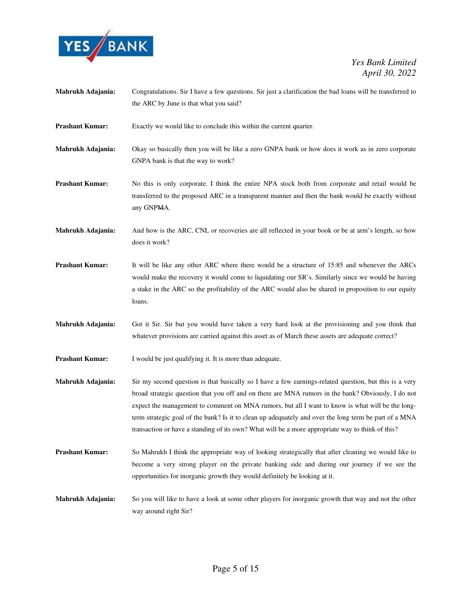

- **Mahrukh Adajania:** Congratulations. Sir I have a few questions. Sir just a clarification the bad loans will be transferred to the ARC by June is that what you said?
- **Prashant Kumar:** Exactly we would like to conclude this within the current quarter.
- **Mahrukh Adajania:** Okay so basically then you will be like a zero GNPA bank or how does it work as in zero corporate GNPA bank is that the way to work?

**Prashant Kumar:** No this is only corporate. I think the entire NPA stock both from corporate and retail would be transferred to the proposed ARC in a transparent manner and then the bank would be exactly without any GNPMA.

**Mahrukh Adajania:** And how is the ARC, CNL or recoveries are all reflected in your book or be at arm's length, so how does it work?

- **Prashant Kumar:** It will be like any other ARC where there would be a structure of 15:85 and whenever the ARCs would make the recovery it would come to liquidating our SR's. Similarly since we would be having a stake in the ARC so the profitability of the ARC would also be shared in proposition to our equity loans.
- **Mahrukh Adajania:** Got it Sir. Sir but you would have taken a very hard look at the provisioning and you think that whatever provisions are carried against this asset as of March these assets are adequate correct?

**Prashant Kumar:** I would be just qualifying it. It is more than adequate.

- **Mahrukh Adajania:** Sir my second question is that basically so I have a few earnings-related question, but this is a very broad strategic question that you off and on there are MNA rumors in the bank? Obviously, I do not expect the management to comment on MNA rumors, but all I want to know is what will be the longterm strategic goal of the bank? Is it to clean up adequately and over the long term be part of a MNA transaction or have a standing of its own? What will be a more appropriate way to think of this?
- **Prashant Kumar:** So Mahrukh I think the appropriate way of looking strategically that after cleaning we would like to become a very strong player on the private banking side and during our journey if we see the opportunities for inorganic growth they would definitely be looking at it.
- **Mahrukh Adajania:** So you will like to have a look at some other players for inorganic growth that way and not the other way around right Sir?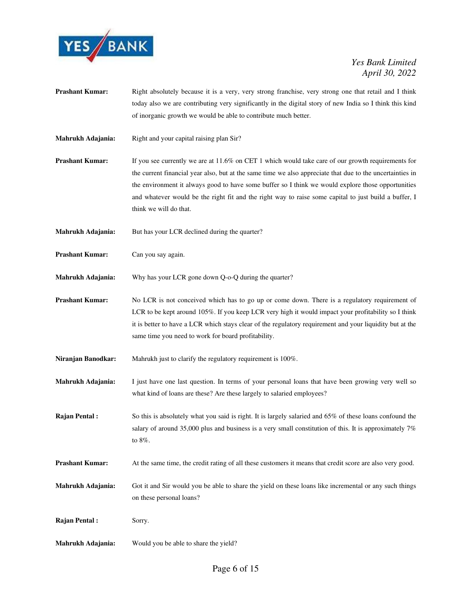

- **Prashant Kumar:** Right absolutely because it is a very, very strong franchise, very strong one that retail and I think today also we are contributing very significantly in the digital story of new India so I think this kind of inorganic growth we would be able to contribute much better.
- **Mahrukh Adajania:** Right and your capital raising plan Sir?
- **Prashant Kumar:** If you see currently we are at 11.6% on CET 1 which would take care of our growth requirements for the current financial year also, but at the same time we also appreciate that due to the uncertainties in the environment it always good to have some buffer so I think we would explore those opportunities and whatever would be the right fit and the right way to raise some capital to just build a buffer, I think we will do that.
- **Mahrukh Adajania:** But has your LCR declined during the quarter?

**Prashant Kumar:** Can you say again.

**Mahrukh Adajania:** Why has your LCR gone down Q-o-Q during the quarter?

- **Prashant Kumar:** No LCR is not conceived which has to go up or come down. There is a regulatory requirement of LCR to be kept around 105%. If you keep LCR very high it would impact your profitability so I think it is better to have a LCR which stays clear of the regulatory requirement and your liquidity but at the same time you need to work for board profitability.
- Niranjan Banodkar: Mahrukh just to clarify the regulatory requirement is 100%.
- **Mahrukh Adajania:** I just have one last question. In terms of your personal loans that have been growing very well so what kind of loans are these? Are these largely to salaried employees?
- **Rajan Pental :** So this is absolutely what you said is right. It is largely salaried and 65% of these loans confound the salary of around 35,000 plus and business is a very small constitution of this. It is approximately 7% to 8%.
- **Prashant Kumar:** At the same time, the credit rating of all these customers it means that credit score are also very good.
- **Mahrukh Adajania:** Got it and Sir would you be able to share the yield on these loans like incremental or any such things on these personal loans?

**Rajan Pental :** Sorry.

**Mahrukh Adajania:** Would you be able to share the yield?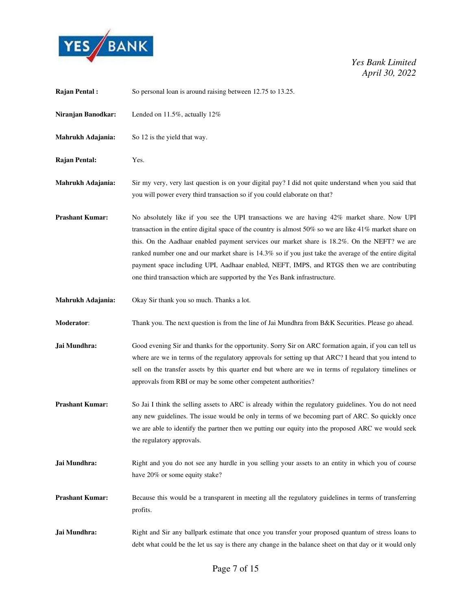

| <b>Rajan Pental:</b>   | So personal loan is around raising between 12.75 to 13.25.                                                                                                                                                                                                                                                                                                                                                                                                                                                                                                                                 |
|------------------------|--------------------------------------------------------------------------------------------------------------------------------------------------------------------------------------------------------------------------------------------------------------------------------------------------------------------------------------------------------------------------------------------------------------------------------------------------------------------------------------------------------------------------------------------------------------------------------------------|
| Niranjan Banodkar:     | Lended on 11.5%, actually 12%                                                                                                                                                                                                                                                                                                                                                                                                                                                                                                                                                              |
| Mahrukh Adajania:      | So 12 is the yield that way.                                                                                                                                                                                                                                                                                                                                                                                                                                                                                                                                                               |
| <b>Rajan Pental:</b>   | Yes.                                                                                                                                                                                                                                                                                                                                                                                                                                                                                                                                                                                       |
| Mahrukh Adajania:      | Sir my very, very last question is on your digital pay? I did not quite understand when you said that<br>you will power every third transaction so if you could elaborate on that?                                                                                                                                                                                                                                                                                                                                                                                                         |
| <b>Prashant Kumar:</b> | No absolutely like if you see the UPI transactions we are having 42% market share. Now UPI<br>transaction in the entire digital space of the country is almost 50% so we are like 41% market share on<br>this. On the Aadhaar enabled payment services our market share is 18.2%. On the NEFT? we are<br>ranked number one and our market share is 14.3% so if you just take the average of the entire digital<br>payment space including UPI, Aadhaar enabled, NEFT, IMPS, and RTGS then we are contributing<br>one third transaction which are supported by the Yes Bank infrastructure. |
| Mahrukh Adajania:      | Okay Sir thank you so much. Thanks a lot.                                                                                                                                                                                                                                                                                                                                                                                                                                                                                                                                                  |
| Moderator:             | Thank you. The next question is from the line of Jai Mundhra from B&K Securities. Please go ahead.                                                                                                                                                                                                                                                                                                                                                                                                                                                                                         |
| Jai Mundhra:           | Good evening Sir and thanks for the opportunity. Sorry Sir on ARC formation again, if you can tell us<br>where are we in terms of the regulatory approvals for setting up that ARC? I heard that you intend to<br>sell on the transfer assets by this quarter end but where are we in terms of regulatory timelines or<br>approvals from RBI or may be some other competent authorities?                                                                                                                                                                                                   |
| <b>Prashant Kumar:</b> | So Jai I think the selling assets to ARC is already within the regulatory guidelines. You do not need<br>any new guidelines. The issue would be only in terms of we becoming part of ARC. So quickly once<br>we are able to identify the partner then we putting our equity into the proposed ARC we would seek<br>the regulatory approvals.                                                                                                                                                                                                                                               |
| Jai Mundhra:           | Right and you do not see any hurdle in you selling your assets to an entity in which you of course<br>have 20% or some equity stake?                                                                                                                                                                                                                                                                                                                                                                                                                                                       |
| <b>Prashant Kumar:</b> | Because this would be a transparent in meeting all the regulatory guidelines in terms of transferring<br>profits.                                                                                                                                                                                                                                                                                                                                                                                                                                                                          |
| Jai Mundhra:           | Right and Sir any ballpark estimate that once you transfer your proposed quantum of stress loans to<br>debt what could be the let us say is there any change in the balance sheet on that day or it would only                                                                                                                                                                                                                                                                                                                                                                             |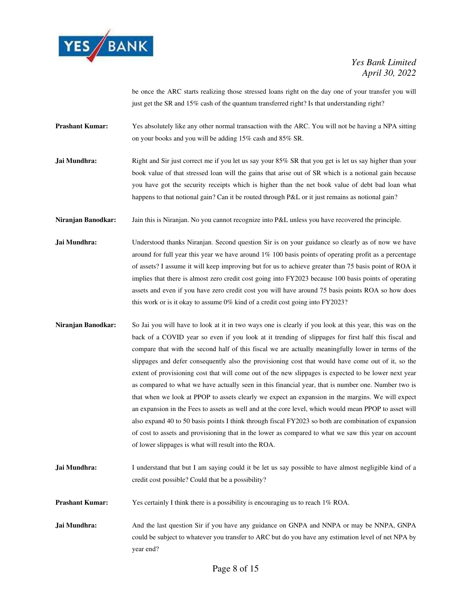

be once the ARC starts realizing those stressed loans right on the day one of your transfer you will just get the SR and 15% cash of the quantum transferred right? Is that understanding right?

- **Prashant Kumar:** Yes absolutely like any other normal transaction with the ARC. You will not be having a NPA sitting on your books and you will be adding 15% cash and 85% SR.
- **Jai Mundhra:** Right and Sir just correct me if you let us say your 85% SR that you get is let us say higher than your book value of that stressed loan will the gains that arise out of SR which is a notional gain because you have got the security receipts which is higher than the net book value of debt bad loan what happens to that notional gain? Can it be routed through P&L or it just remains as notional gain?
- **Niranjan Banodkar:** Jain this is Niranjan. No you cannot recognize into P&L unless you have recovered the principle.
- Jai Mundhra: Understood thanks Niranjan. Second question Sir is on your guidance so clearly as of now we have around for full year this year we have around 1% 100 basis points of operating profit as a percentage of assets? I assume it will keep improving but for us to achieve greater than 75 basis point of ROA it implies that there is almost zero credit cost going into FY2023 because 100 basis points of operating assets and even if you have zero credit cost you will have around 75 basis points ROA so how does this work or is it okay to assume 0% kind of a credit cost going into FY2023?
- **Niranjan Banodkar:** So Jai you will have to look at it in two ways one is clearly if you look at this year, this was on the back of a COVID year so even if you look at it trending of slippages for first half this fiscal and compare that with the second half of this fiscal we are actually meaningfully lower in terms of the slippages and defer consequently also the provisioning cost that would have come out of it, so the extent of provisioning cost that will come out of the new slippages is expected to be lower next year as compared to what we have actually seen in this financial year, that is number one. Number two is that when we look at PPOP to assets clearly we expect an expansion in the margins. We will expect an expansion in the Fees to assets as well and at the core level, which would mean PPOP to asset will also expand 40 to 50 basis points I think through fiscal FY2023 so both are combination of expansion of cost to assets and provisioning that in the lower as compared to what we saw this year on account of lower slippages is what will result into the ROA.
- **Jai Mundhra:** I understand that but I am saying could it be let us say possible to have almost negligible kind of a credit cost possible? Could that be a possibility?
- **Prashant Kumar:** Yes certainly I think there is a possibility is encouraging us to reach 1% ROA.
- **Jai Mundhra:** And the last question Sir if you have any guidance on GNPA and NNPA or may be NNPA, GNPA could be subject to whatever you transfer to ARC but do you have any estimation level of net NPA by year end?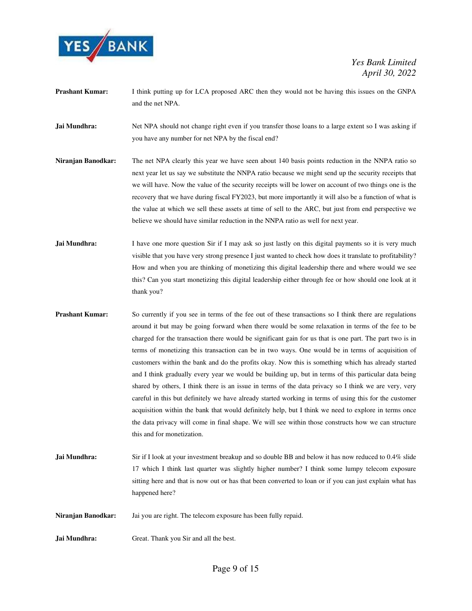

- **Prashant Kumar:** I think putting up for LCA proposed ARC then they would not be having this issues on the GNPA and the net NPA.
- **Jai Mundhra:** Net NPA should not change right even if you transfer those loans to a large extent so I was asking if you have any number for net NPA by the fiscal end?
- **Niranjan Banodkar:** The net NPA clearly this year we have seen about 140 basis points reduction in the NNPA ratio so next year let us say we substitute the NNPA ratio because we might send up the security receipts that we will have. Now the value of the security receipts will be lower on account of two things one is the recovery that we have during fiscal FY2023, but more importantly it will also be a function of what is the value at which we sell these assets at time of sell to the ARC, but just from end perspective we believe we should have similar reduction in the NNPA ratio as well for next year.
- **Jai Mundhra:** I have one more question Sir if I may ask so just lastly on this digital payments so it is very much visible that you have very strong presence I just wanted to check how does it translate to profitability? How and when you are thinking of monetizing this digital leadership there and where would we see this? Can you start monetizing this digital leadership either through fee or how should one look at it thank you?
- **Prashant Kumar:** So currently if you see in terms of the fee out of these transactions so I think there are regulations around it but may be going forward when there would be some relaxation in terms of the fee to be charged for the transaction there would be significant gain for us that is one part. The part two is in terms of monetizing this transaction can be in two ways. One would be in terms of acquisition of customers within the bank and do the profits okay. Now this is something which has already started and I think gradually every year we would be building up, but in terms of this particular data being shared by others, I think there is an issue in terms of the data privacy so I think we are very, very careful in this but definitely we have already started working in terms of using this for the customer acquisition within the bank that would definitely help, but I think we need to explore in terms once the data privacy will come in final shape. We will see within those constructs how we can structure this and for monetization.
- **Jai Mundhra:** Sir if I look at your investment breakup and so double BB and below it has now reduced to 0.4% slide 17 which I think last quarter was slightly higher number? I think some lumpy telecom exposure sitting here and that is now out or has that been converted to loan or if you can just explain what has happened here?
- **Niranjan Banodkar:** Jai you are right. The telecom exposure has been fully repaid.
- **Jai Mundhra:** Great. Thank you Sir and all the best.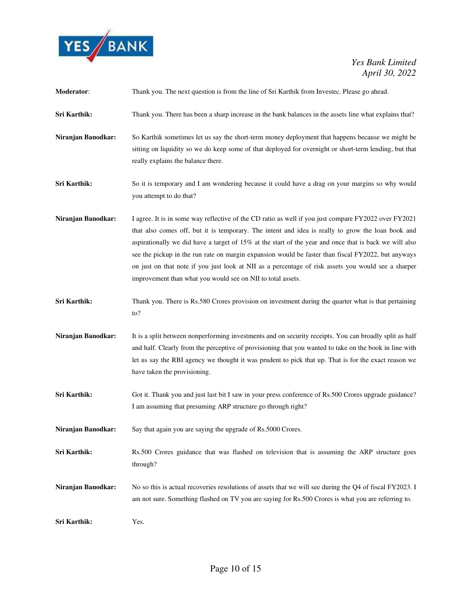

| Moderator:         | Thank you. The next question is from the line of Sri Karthik from Investec. Please go ahead.                                                                                                                                                                                                                                                                                                                                                                                                                                                                                                       |
|--------------------|----------------------------------------------------------------------------------------------------------------------------------------------------------------------------------------------------------------------------------------------------------------------------------------------------------------------------------------------------------------------------------------------------------------------------------------------------------------------------------------------------------------------------------------------------------------------------------------------------|
| Sri Karthik:       | Thank you. There has been a sharp increase in the bank balances in the assets line what explains that?                                                                                                                                                                                                                                                                                                                                                                                                                                                                                             |
| Niranjan Banodkar: | So Karthik sometimes let us say the short-term money deployment that happens because we might be<br>sitting on liquidity so we do keep some of that deployed for overnight or short-term lending, but that<br>really explains the balance there.                                                                                                                                                                                                                                                                                                                                                   |
| Sri Karthik:       | So it is temporary and I am wondering because it could have a drag on your margins so why would<br>you attempt to do that?                                                                                                                                                                                                                                                                                                                                                                                                                                                                         |
| Niranjan Banodkar: | I agree. It is in some way reflective of the CD ratio as well if you just compare FY2022 over FY2021<br>that also comes off, but it is temporary. The intent and idea is really to grow the loan book and<br>aspirationally we did have a target of $15\%$ at the start of the year and once that is back we will also<br>see the pickup in the run rate on margin expansion would be faster than fiscal FY2022, but anyways<br>on just on that note if you just look at NII as a percentage of risk assets you would see a sharper<br>improvement than what you would see on NII to total assets. |
| Sri Karthik:       | Thank you. There is Rs.580 Crores provision on investment during the quarter what is that pertaining<br>to?                                                                                                                                                                                                                                                                                                                                                                                                                                                                                        |
| Niranjan Banodkar: | It is a split between nonperforming investments and on security receipts. You can broadly split as half<br>and half. Clearly from the perceptive of provisioning that you wanted to take on the book in line with<br>let us say the RBI agency we thought it was prudent to pick that up. That is for the exact reason we<br>have taken the provisioning.                                                                                                                                                                                                                                          |
| Sri Karthik:       | Got it. Thank you and just last bit I saw in your press conference of Rs.500 Crores upgrade guidance?<br>I am assuming that presuming ARP structure go through right?                                                                                                                                                                                                                                                                                                                                                                                                                              |
| Niranjan Banodkar: | Say that again you are saying the upgrade of Rs.5000 Crores.                                                                                                                                                                                                                                                                                                                                                                                                                                                                                                                                       |
| Sri Karthik:       | Rs.500 Crores guidance that was flashed on television that is assuming the ARP structure goes<br>through?                                                                                                                                                                                                                                                                                                                                                                                                                                                                                          |
| Niranjan Banodkar: | No so this is actual recoveries resolutions of assets that we will see during the Q4 of fiscal FY2023. I<br>am not sure. Something flashed on TV you are saying for Rs.500 Crores is what you are referring to.                                                                                                                                                                                                                                                                                                                                                                                    |
| Sri Karthik:       | Yes.                                                                                                                                                                                                                                                                                                                                                                                                                                                                                                                                                                                               |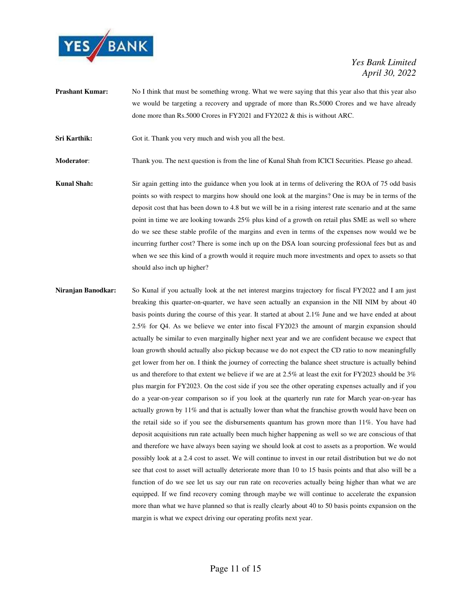

**Prashant Kumar:** No I think that must be something wrong. What we were saying that this year also that this year also we would be targeting a recovery and upgrade of more than Rs.5000 Crores and we have already done more than Rs.5000 Crores in FY2021 and FY2022 & this is without ARC.

**Sri Karthik:** Got it. Thank you very much and wish you all the best.

**Moderator**: Thank you. The next question is from the line of Kunal Shah from ICICI Securities. Please go ahead.

- **Kunal Shah:** Sir again getting into the guidance when you look at in terms of delivering the ROA of 75 odd basis points so with respect to margins how should one look at the margins? One is may be in terms of the deposit cost that has been down to 4.8 but we will be in a rising interest rate scenario and at the same point in time we are looking towards 25% plus kind of a growth on retail plus SME as well so where do we see these stable profile of the margins and even in terms of the expenses now would we be incurring further cost? There is some inch up on the DSA loan sourcing professional fees but as and when we see this kind of a growth would it require much more investments and opex to assets so that should also inch up higher?
- **Niranjan Banodkar:** So Kunal if you actually look at the net interest margins trajectory for fiscal FY2022 and I am just breaking this quarter-on-quarter, we have seen actually an expansion in the NII NIM by about 40 basis points during the course of this year. It started at about 2.1% June and we have ended at about 2.5% for Q4. As we believe we enter into fiscal FY2023 the amount of margin expansion should actually be similar to even marginally higher next year and we are confident because we expect that loan growth should actually also pickup because we do not expect the CD ratio to now meaningfully get lower from her on. I think the journey of correcting the balance sheet structure is actually behind us and therefore to that extent we believe if we are at 2.5% at least the exit for FY2023 should be 3% plus margin for FY2023. On the cost side if you see the other operating expenses actually and if you do a year-on-year comparison so if you look at the quarterly run rate for March year-on-year has actually grown by 11% and that is actually lower than what the franchise growth would have been on the retail side so if you see the disbursements quantum has grown more than 11%. You have had deposit acquisitions run rate actually been much higher happening as well so we are conscious of that and therefore we have always been saying we should look at cost to assets as a proportion. We would possibly look at a 2.4 cost to asset. We will continue to invest in our retail distribution but we do not see that cost to asset will actually deteriorate more than 10 to 15 basis points and that also will be a function of do we see let us say our run rate on recoveries actually being higher than what we are equipped. If we find recovery coming through maybe we will continue to accelerate the expansion more than what we have planned so that is really clearly about 40 to 50 basis points expansion on the margin is what we expect driving our operating profits next year.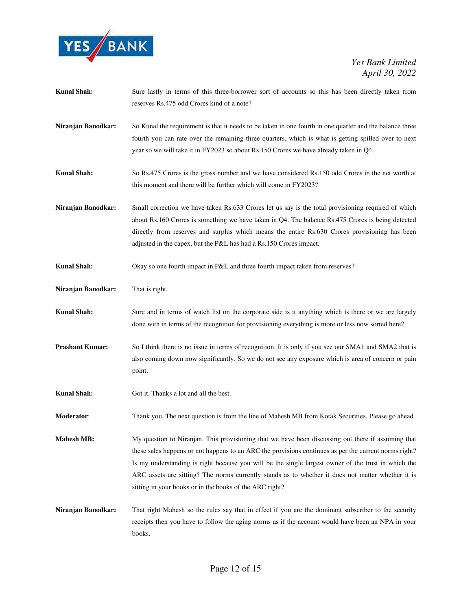

| <b>Kunal Shah:</b>     | Sure lastly in terms of this three-borrower sort of accounts so this has been directly taken from<br>reserves Rs.475 odd Crores kind of a note?                                                                                                                                                                                                                                                                                                                                    |
|------------------------|------------------------------------------------------------------------------------------------------------------------------------------------------------------------------------------------------------------------------------------------------------------------------------------------------------------------------------------------------------------------------------------------------------------------------------------------------------------------------------|
| Niranjan Banodkar:     | So Kunal the requirement is that it needs to be taken in one fourth in one quarter and the balance three<br>fourth you can rate over the remaining three quarters, which is what is getting spilled over to next<br>year so we will take it in FY2023 so about Rs.150 Crores we have already taken in Q4.                                                                                                                                                                          |
| <b>Kunal Shah:</b>     | So Rs.475 Crores is the gross number and we have considered Rs.150 odd Crores in the net worth at<br>this moment and there will be further which will come in FY2023?                                                                                                                                                                                                                                                                                                              |
| Niranjan Banodkar:     | Small correction we have taken Rs.633 Crores let us say is the total provisioning required of which<br>about Rs.160 Crores is something we have taken in Q4. The balance Rs.475 Crores is being detected<br>directly from reserves and surplus which means the entire Rs.630 Crores provisioning has been<br>adjusted in the capex, but the P&L has had a Rs.150 Crores impact.                                                                                                    |
| <b>Kunal Shah:</b>     | Okay so one fourth impact in P&L and three fourth impact taken from reserves?                                                                                                                                                                                                                                                                                                                                                                                                      |
| Niranjan Banodkar:     | That is right.                                                                                                                                                                                                                                                                                                                                                                                                                                                                     |
| <b>Kunal Shah:</b>     | Sure and in terms of watch list on the corporate side is it anything which is there or we are largely<br>done with in terms of the recognition for provisioning everything is more or less now sorted here?                                                                                                                                                                                                                                                                        |
| <b>Prashant Kumar:</b> | So I think there is no issue in terms of recognition. It is only if you see our SMA1 and SMA2 that is<br>also coming down now significantly. So we do not see any exposure which is area of concern or pain<br>point.                                                                                                                                                                                                                                                              |
| <b>Kunal Shah:</b>     | Got it. Thanks a lot and all the best.                                                                                                                                                                                                                                                                                                                                                                                                                                             |
| Moderator:             | Thank you. The next question is from the line of Mahesh MB from Kotak Securities. Please go ahead.                                                                                                                                                                                                                                                                                                                                                                                 |
| <b>Mahesh MB:</b>      | My question to Niranjan. This provisioning that we have been discussing out there if assuming that<br>these sales happens or not happens to an ARC the provisions continues as per the current norms right?<br>Is my understanding is right because you will be the single largest owner of the trust in which the<br>ARC assets are sitting? The norms currently stands as to whether it does not matter whether it is<br>sitting in your books or in the books of the ARC right? |
| Niranjan Banodkar:     | That right Mahesh so the rules say that in effect if you are the dominant subscriber to the security<br>receipts then you have to follow the aging norms as if the account would have been an NPA in your<br>books.                                                                                                                                                                                                                                                                |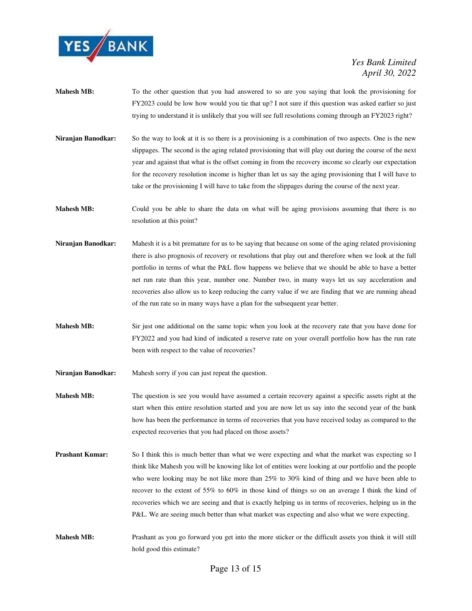

- **Mahesh MB:** To the other question that you had answered to so are you saying that look the provisioning for FY2023 could be low how would you tie that up? I not sure if this question was asked earlier so just trying to understand it is unlikely that you will see full resolutions coming through an FY2023 right?
- **Niranjan Banodkar:** So the way to look at it is so there is a provisioning is a combination of two aspects. One is the new slippages. The second is the aging related provisioning that will play out during the course of the next year and against that what is the offset coming in from the recovery income so clearly our expectation for the recovery resolution income is higher than let us say the aging provisioning that I will have to take or the provisioning I will have to take from the slippages during the course of the next year.
- **Mahesh MB:** Could you be able to share the data on what will be aging provisions assuming that there is no resolution at this point?
- **Niranjan Banodkar:** Mahesh it is a bit premature for us to be saying that because on some of the aging related provisioning there is also prognosis of recovery or resolutions that play out and therefore when we look at the full portfolio in terms of what the P&L flow happens we believe that we should be able to have a better net run rate than this year, number one. Number two, in many ways let us say acceleration and recoveries also allow us to keep reducing the carry value if we are finding that we are running ahead of the run rate so in many ways have a plan for the subsequent year better.
- **Mahesh MB:** Sir just one additional on the same topic when you look at the recovery rate that you have done for FY2022 and you had kind of indicated a reserve rate on your overall portfolio how has the run rate been with respect to the value of recoveries?
- **Niranjan Banodkar:** Mahesh sorry if you can just repeat the question.
- **Mahesh MB:** The question is see you would have assumed a certain recovery against a specific assets right at the start when this entire resolution started and you are now let us say into the second year of the bank how has been the performance in terms of recoveries that you have received today as compared to the expected recoveries that you had placed on those assets?
- **Prashant Kumar:** So I think this is much better than what we were expecting and what the market was expecting so I think like Mahesh you will be knowing like lot of entities were looking at our portfolio and the people who were looking may be not like more than 25% to 30% kind of thing and we have been able to recover to the extent of 55% to 60% in those kind of things so on an average I think the kind of recoveries which we are seeing and that is exactly helping us in terms of recoveries, helping us in the P&L. We are seeing much better than what market was expecting and also what we were expecting.
- **Mahesh MB:** Prashant as you go forward you get into the more sticker or the difficult assets you think it will still hold good this estimate?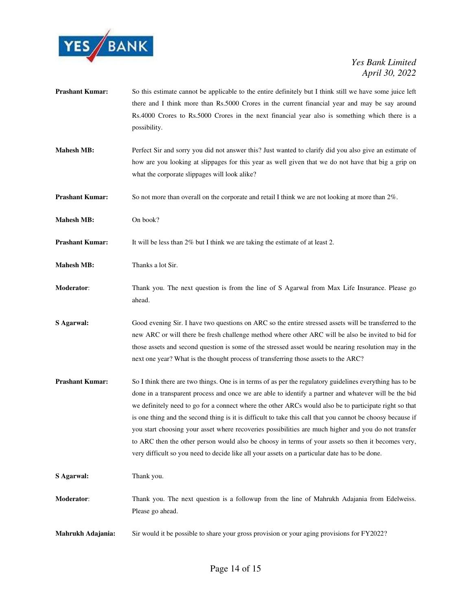

- **Prashant Kumar:** So this estimate cannot be applicable to the entire definitely but I think still we have some juice left there and I think more than Rs.5000 Crores in the current financial year and may be say around Rs.4000 Crores to Rs.5000 Crores in the next financial year also is something which there is a possibility.
- **Mahesh MB:** Perfect Sir and sorry you did not answer this? Just wanted to clarify did you also give an estimate of how are you looking at slippages for this year as well given that we do not have that big a grip on what the corporate slippages will look alike?
- **Prashant Kumar:** So not more than overall on the corporate and retail I think we are not looking at more than 2%.
- **Mahesh MB:** On book?
- **Prashant Kumar:** It will be less than 2% but I think we are taking the estimate of at least 2.
- **Mahesh MB:** Thanks a lot Sir.
- **Moderator**: Thank you. The next question is from the line of S Agarwal from Max Life Insurance. Please go ahead.
- **S Agarwal:** Good evening Sir. I have two questions on ARC so the entire stressed assets will be transferred to the new ARC or will there be fresh challenge method where other ARC will be also be invited to bid for those assets and second question is some of the stressed asset would be nearing resolution may in the next one year? What is the thought process of transferring those assets to the ARC?
- **Prashant Kumar:** So I think there are two things. One is in terms of as per the regulatory guidelines everything has to be done in a transparent process and once we are able to identify a partner and whatever will be the bid we definitely need to go for a connect where the other ARCs would also be to participate right so that is one thing and the second thing is it is difficult to take this call that you cannot be choosy because if you start choosing your asset where recoveries possibilities are much higher and you do not transfer to ARC then the other person would also be choosy in terms of your assets so then it becomes very, very difficult so you need to decide like all your assets on a particular date has to be done.

**S Agarwal:** Thank you.

- **Moderator**: Thank you. The next question is a followup from the line of Mahrukh Adajania from Edelweiss. Please go ahead.
- **Mahrukh Adajania:** Sir would it be possible to share your gross provision or your aging provisions for FY2022?